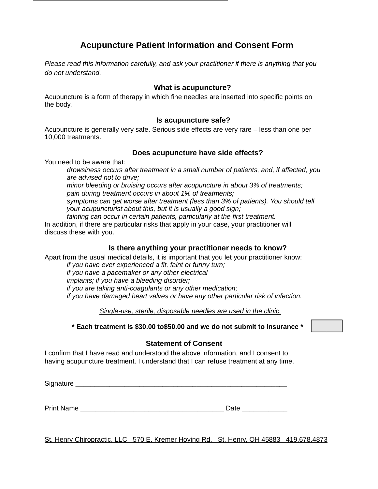# **Acupuncture Patient Information and Consent Form**

*Please read this information carefully, and ask your practitioner if there is anything that you do not understand.*

### **What is acupuncture?**

Acupuncture is a form of therapy in which fine needles are inserted into specific points on the body.

### **Is acupuncture safe?**

Acupuncture is generally very safe. Serious side effects are very rare – less than one per 10,000 treatments.

#### **Does acupuncture have side effects?**

You need to be aware that:

*drowsiness occurs after treatment in a small number of patients, and, if affected, you are advised not to drive;*

*minor bleeding or bruising occurs after acupuncture in about 3% of treatments; pain during treatment occurs in about 1% of treatments;*

*symptoms can get worse after treatment (less than 3% of patients). You should tell your acupuncturist about this, but it is usually a good sign;*

*fainting can occur in certain patients, particularly at the first treatment.* In addition, if there are particular risks that apply in your case, your practitioner will discuss these with you.

### **Is there anything your practitioner needs to know?**

Apart from the usual medical details, it is important that you let your practitioner know:

*if you have ever experienced a fit, faint or funny turn;*

*if you have a pacemaker or any other electrical implants; if you have a bleeding disorder;*

*if you are taking anti-coagulants or any other medication; if you have damaged heart valves or have any other particular risk of infection.*

*Single-use, sterile, disposable needles are used in the clinic.*

**\* Each treatment is \$30.00 to\$50.00 and we do not submit to insurance \***

### **Statement of Consent**

I confirm that I have read and understood the above information, and I consent to having acupuncture treatment. I understand that I can refuse treatment at any time.

Signature *with the set of the set of the set of the set of the set of the set of the set of the set of the set of the set of the set of the set of the set of the set of the set of the set of the set of the set of the set* 

Print Name **Date Date Date** 

St. Henry Chiropractic, LLC 570 E. Kremer Hoying Rd. St. Henry, OH 45883 419.678.4873